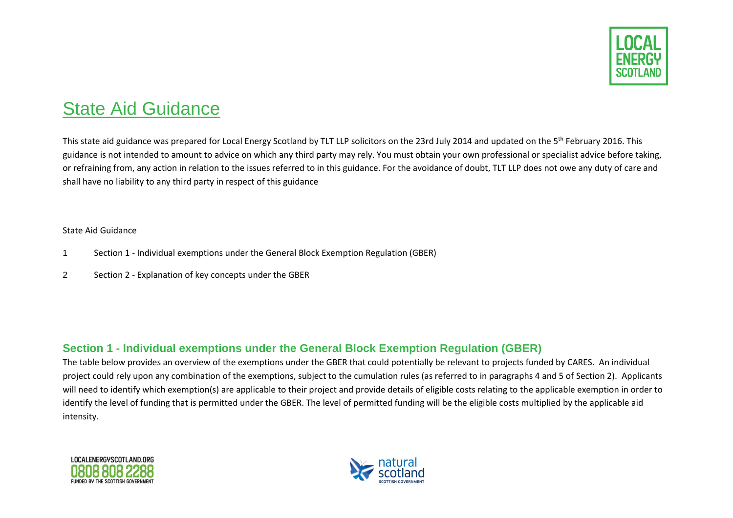

# State Aid Guidance

This state aid guidance was prepared for Local Energy Scotland by TLT LLP solicitors on the 23rd July 2014 and updated on the 5<sup>th</sup> February 2016. This guidance is not intended to amount to advice on which any third party may rely. You must obtain your own professional or specialist advice before taking, or refraining from, any action in relation to the issues referred to in this guidance. For the avoidance of doubt, TLT LLP does not owe any duty of care and shall have no liability to any third party in respect of this guidance

#### State Aid Guidance

- 1 Section 1 Individual exemptions under the General Block Exemption Regulation (GBER)
- 2 Section 2 Explanation of key concepts under the GBER

## **Section 1 - Individual exemptions under the General Block Exemption Regulation (GBER)**

The table below provides an overview of the exemptions under the GBER that could potentially be relevant to projects funded by CARES. An individual project could rely upon any combination of the exemptions, subject to the cumulation rules (as referred to in paragraphs 4 and 5 of Section 2). Applicants will need to identify which exemption(s) are applicable to their project and provide details of eligible costs relating to the applicable exemption in order to identify the level of funding that is permitted under the GBER. The level of permitted funding will be the eligible costs multiplied by the applicable aid intensity.



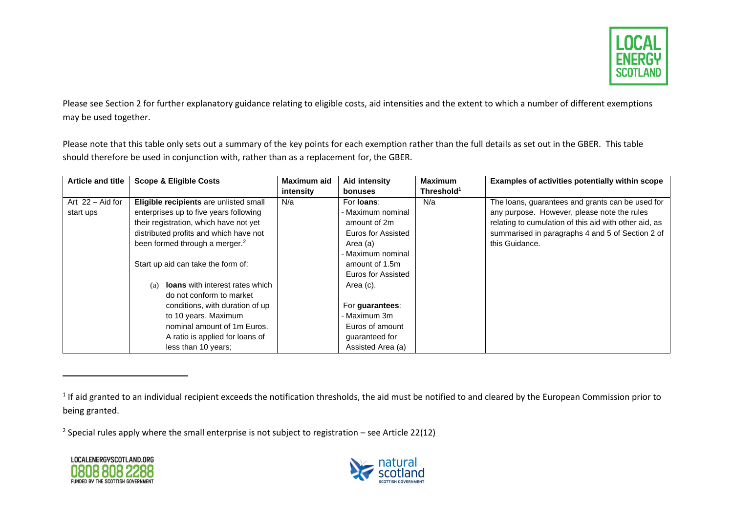

Please see Section 2 for further explanatory guidance relating to eligible costs, aid intensities and the extent to which a number of different exemptions may be used together.

Please note that this table only sets out a summary of the key points for each exemption rather than the full details as set out in the GBER. This table should therefore be used in conjunction with, rather than as a replacement for, the GBER.

| <b>Article and title</b> | <b>Scope &amp; Eligible Costs</b>             | Maximum aid | <b>Aid intensity</b> | <b>Maximum</b>         | Examples of activities potentially within scope       |
|--------------------------|-----------------------------------------------|-------------|----------------------|------------------------|-------------------------------------------------------|
|                          |                                               | intensity   | bonuses              | Threshold <sup>1</sup> |                                                       |
| Art $22 -$ Aid for       | Eligible recipients are unlisted small        | N/a         | For <b>loans</b> :   | N/a                    | The loans, guarantees and grants can be used for      |
| start ups                | enterprises up to five years following        |             | - Maximum nominal    |                        | any purpose. However, please note the rules           |
|                          | their registration, which have not yet        |             | amount of 2m         |                        | relating to cumulation of this aid with other aid, as |
|                          | distributed profits and which have not        |             | Euros for Assisted   |                        | summarised in paragraphs 4 and 5 of Section 2 of      |
|                          | been formed through a merger. <sup>2</sup>    |             | Area (a)             |                        | this Guidance.                                        |
|                          |                                               |             | Maximum nominal      |                        |                                                       |
|                          | Start up aid can take the form of:            |             | amount of 1.5m       |                        |                                                       |
|                          |                                               |             | Euros for Assisted   |                        |                                                       |
|                          | <b>loans</b> with interest rates which<br>(a) |             | Area (c).            |                        |                                                       |
|                          | do not conform to market                      |             |                      |                        |                                                       |
|                          | conditions, with duration of up               |             | For guarantees:      |                        |                                                       |
|                          | to 10 years. Maximum                          |             | Maximum 3m           |                        |                                                       |
|                          | nominal amount of 1m Euros.                   |             | Euros of amount      |                        |                                                       |
|                          | A ratio is applied for loans of               |             | guaranteed for       |                        |                                                       |
|                          | less than 10 years;                           |             | Assisted Area (a)    |                        |                                                       |

<sup>2</sup> Special rules apply where the small enterprise is not subject to registration – see Article 22(12)





 $^1$  If aid granted to an individual recipient exceeds the notification thresholds, the aid must be notified to and cleared by the European Commission prior to being granted.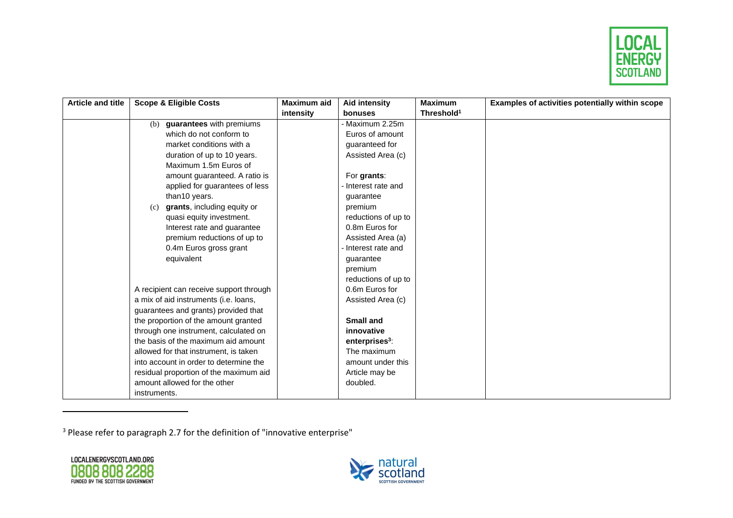

| <b>Article and title</b> | <b>Scope &amp; Eligible Costs</b>       | Maximum aid | Aid intensity              | <b>Maximum</b>         | Examples of activities potentially within scope |
|--------------------------|-----------------------------------------|-------------|----------------------------|------------------------|-------------------------------------------------|
|                          |                                         | intensity   | bonuses                    | Threshold <sup>1</sup> |                                                 |
|                          | guarantees with premiums<br>(b)         |             | Maximum 2.25m              |                        |                                                 |
|                          | which do not conform to                 |             | Euros of amount            |                        |                                                 |
|                          | market conditions with a                |             | guaranteed for             |                        |                                                 |
|                          | duration of up to 10 years.             |             | Assisted Area (c)          |                        |                                                 |
|                          | Maximum 1.5m Euros of                   |             |                            |                        |                                                 |
|                          | amount guaranteed. A ratio is           |             | For grants:                |                        |                                                 |
|                          | applied for guarantees of less          |             | Interest rate and          |                        |                                                 |
|                          | than10 years.                           |             | guarantee                  |                        |                                                 |
|                          | grants, including equity or<br>(c)      |             | premium                    |                        |                                                 |
|                          | quasi equity investment.                |             | reductions of up to        |                        |                                                 |
|                          | Interest rate and guarantee             |             | 0.8m Euros for             |                        |                                                 |
|                          | premium reductions of up to             |             | Assisted Area (a)          |                        |                                                 |
|                          | 0.4m Euros gross grant                  |             | Interest rate and          |                        |                                                 |
|                          | equivalent                              |             | guarantee                  |                        |                                                 |
|                          |                                         |             | premium                    |                        |                                                 |
|                          |                                         |             | reductions of up to        |                        |                                                 |
|                          | A recipient can receive support through |             | 0.6m Euros for             |                        |                                                 |
|                          | a mix of aid instruments (i.e. loans,   |             | Assisted Area (c)          |                        |                                                 |
|                          | guarantees and grants) provided that    |             |                            |                        |                                                 |
|                          | the proportion of the amount granted    |             | <b>Small and</b>           |                        |                                                 |
|                          | through one instrument, calculated on   |             | innovative                 |                        |                                                 |
|                          | the basis of the maximum aid amount     |             | enterprises <sup>3</sup> : |                        |                                                 |
|                          | allowed for that instrument, is taken   |             | The maximum                |                        |                                                 |
|                          | into account in order to determine the  |             | amount under this          |                        |                                                 |
|                          | residual proportion of the maximum aid  |             | Article may be             |                        |                                                 |
|                          | amount allowed for the other            |             | doubled.                   |                        |                                                 |
|                          | instruments.                            |             |                            |                        |                                                 |

<sup>3</sup> Please refer to paragraph 2.7 for the definition of "innovative enterprise"



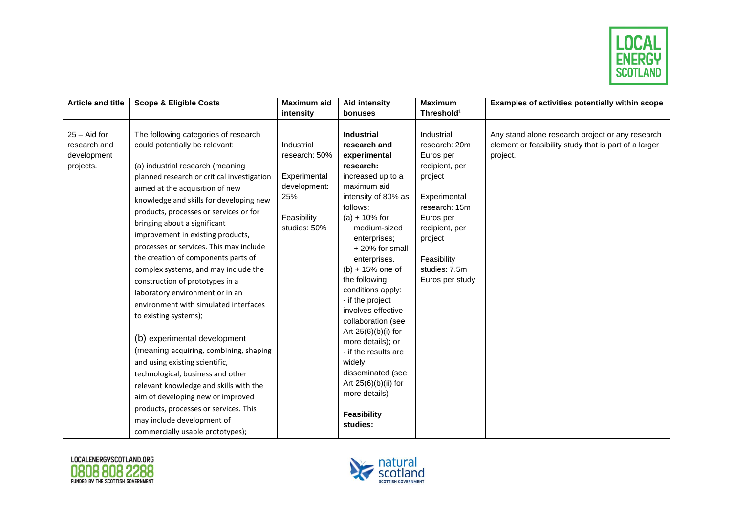

| <b>Article and title</b> | <b>Scope &amp; Eligible Costs</b>          | Maximum aid                 | <b>Aid intensity</b>                     | <b>Maximum</b>              | Examples of activities potentially within scope       |
|--------------------------|--------------------------------------------|-----------------------------|------------------------------------------|-----------------------------|-------------------------------------------------------|
|                          |                                            | intensity                   | bonuses                                  | Threshold <sup>1</sup>      |                                                       |
|                          |                                            |                             |                                          |                             |                                                       |
| $25 -$ Aid for           | The following categories of research       |                             | <b>Industrial</b>                        | Industrial                  | Any stand alone research project or any research      |
| research and             | could potentially be relevant:             | Industrial                  | research and                             | research: 20m               | element or feasibility study that is part of a larger |
| development              |                                            | research: 50%               | experimental                             | Euros per                   | project.                                              |
| projects.                | (a) industrial research (meaning           |                             | research:                                | recipient, per              |                                                       |
|                          | planned research or critical investigation | Experimental                | increased up to a                        | project                     |                                                       |
|                          | aimed at the acquisition of new            | development:                | maximum aid                              |                             |                                                       |
|                          | knowledge and skills for developing new    | 25%                         | intensity of 80% as                      | Experimental                |                                                       |
|                          | products, processes or services or for     |                             | follows:                                 | research: 15m               |                                                       |
|                          | bringing about a significant               | Feasibility<br>studies: 50% | $(a) + 10\%$ for<br>medium-sized         | Euros per<br>recipient, per |                                                       |
|                          | improvement in existing products,          |                             | enterprises;                             | project                     |                                                       |
|                          | processes or services. This may include    |                             | +20% for small                           |                             |                                                       |
|                          | the creation of components parts of        |                             | enterprises.                             | Feasibility                 |                                                       |
|                          | complex systems, and may include the       |                             | $(b) + 15%$ one of                       | studies: 7.5m               |                                                       |
|                          | construction of prototypes in a            |                             | the following                            | Euros per study             |                                                       |
|                          | laboratory environment or in an            |                             | conditions apply:                        |                             |                                                       |
|                          | environment with simulated interfaces      |                             | - if the project                         |                             |                                                       |
|                          | to existing systems);                      |                             | involves effective<br>collaboration (see |                             |                                                       |
|                          |                                            |                             | Art 25(6)(b)(i) for                      |                             |                                                       |
|                          | (b) experimental development               |                             | more details); or                        |                             |                                                       |
|                          | (meaning acquiring, combining, shaping     |                             | - if the results are                     |                             |                                                       |
|                          | and using existing scientific,             |                             | widely                                   |                             |                                                       |
|                          | technological, business and other          |                             | disseminated (see                        |                             |                                                       |
|                          | relevant knowledge and skills with the     |                             | Art $25(6)(b)(ii)$ for                   |                             |                                                       |
|                          | aim of developing new or improved          |                             | more details)                            |                             |                                                       |
|                          | products, processes or services. This      |                             | <b>Feasibility</b>                       |                             |                                                       |
|                          | may include development of                 |                             | studies:                                 |                             |                                                       |
|                          | commercially usable prototypes);           |                             |                                          |                             |                                                       |



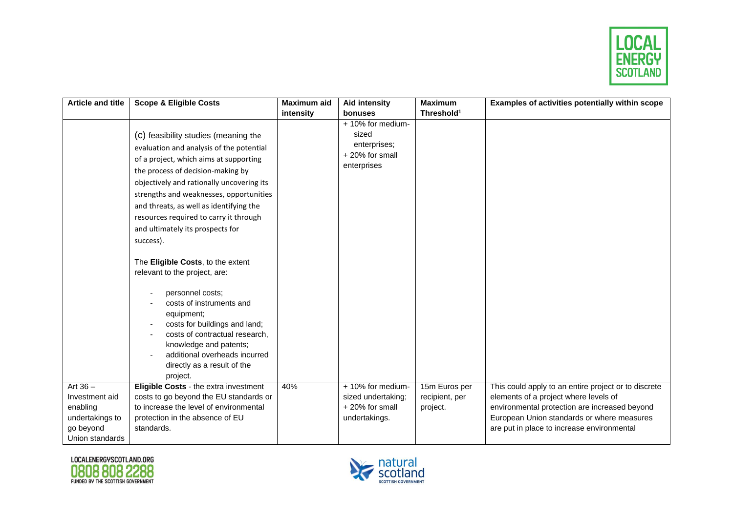

| <b>Article and title</b> | <b>Scope &amp; Eligible Costs</b>            | <b>Maximum aid</b> | <b>Aid intensity</b> | <b>Maximum</b>         | Examples of activities potentially within scope      |
|--------------------------|----------------------------------------------|--------------------|----------------------|------------------------|------------------------------------------------------|
|                          |                                              | intensity          | bonuses              | Threshold <sup>1</sup> |                                                      |
|                          |                                              |                    | + 10% for medium-    |                        |                                                      |
|                          | (c) feasibility studies (meaning the         |                    | sized                |                        |                                                      |
|                          | evaluation and analysis of the potential     |                    | enterprises;         |                        |                                                      |
|                          | of a project, which aims at supporting       |                    | +20% for small       |                        |                                                      |
|                          | the process of decision-making by            |                    | enterprises          |                        |                                                      |
|                          | objectively and rationally uncovering its    |                    |                      |                        |                                                      |
|                          | strengths and weaknesses, opportunities      |                    |                      |                        |                                                      |
|                          | and threats, as well as identifying the      |                    |                      |                        |                                                      |
|                          | resources required to carry it through       |                    |                      |                        |                                                      |
|                          | and ultimately its prospects for             |                    |                      |                        |                                                      |
|                          | success).                                    |                    |                      |                        |                                                      |
|                          |                                              |                    |                      |                        |                                                      |
|                          | The Eligible Costs, to the extent            |                    |                      |                        |                                                      |
|                          | relevant to the project, are:                |                    |                      |                        |                                                      |
|                          |                                              |                    |                      |                        |                                                      |
|                          | personnel costs;<br>costs of instruments and |                    |                      |                        |                                                      |
|                          | equipment;                                   |                    |                      |                        |                                                      |
|                          | costs for buildings and land;                |                    |                      |                        |                                                      |
|                          | costs of contractual research,               |                    |                      |                        |                                                      |
|                          | knowledge and patents;                       |                    |                      |                        |                                                      |
|                          | additional overheads incurred                |                    |                      |                        |                                                      |
|                          | directly as a result of the                  |                    |                      |                        |                                                      |
|                          | project.                                     |                    |                      |                        |                                                      |
| Art $36 -$               | Eligible Costs - the extra investment        | 40%                | + 10% for medium-    | 15m Euros per          | This could apply to an entire project or to discrete |
| Investment aid           | costs to go beyond the EU standards or       |                    | sized undertaking;   | recipient, per         | elements of a project where levels of                |
| enabling                 | to increase the level of environmental       |                    | +20% for small       | project.               | environmental protection are increased beyond        |
| undertakings to          | protection in the absence of EU              |                    | undertakings.        |                        | European Union standards or where measures           |
| go beyond                | standards.                                   |                    |                      |                        | are put in place to increase environmental           |
| Union standards          |                                              |                    |                      |                        |                                                      |



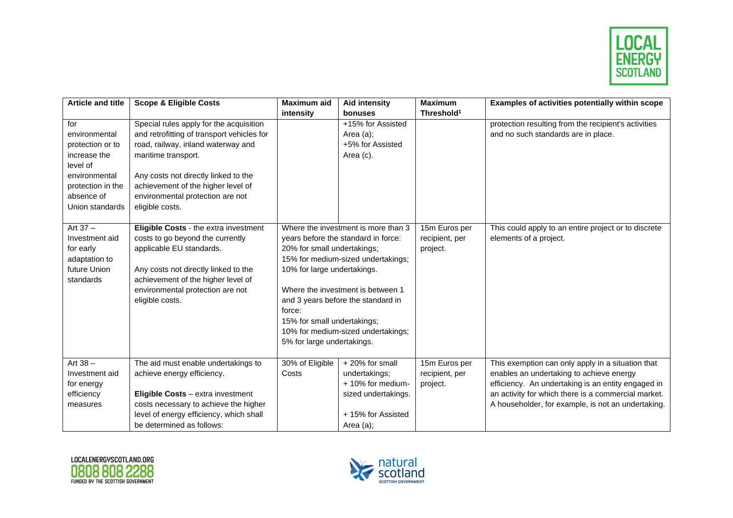

| <b>Article and title</b> | <b>Scope &amp; Eligible Costs</b>          | <b>Maximum aid</b>                  | Aid intensity                       | <b>Maximum</b>         | Examples of activities potentially within scope      |
|--------------------------|--------------------------------------------|-------------------------------------|-------------------------------------|------------------------|------------------------------------------------------|
|                          |                                            | intensity                           | bonuses                             | Threshold <sup>1</sup> |                                                      |
| for                      | Special rules apply for the acquisition    |                                     | +15% for Assisted                   |                        | protection resulting from the recipient's activities |
| environmental            | and retrofitting of transport vehicles for |                                     | Area (a);                           |                        | and no such standards are in place.                  |
| protection or to         | road, railway, inland waterway and         |                                     | +5% for Assisted                    |                        |                                                      |
| increase the             | maritime transport.                        |                                     | Area (c).                           |                        |                                                      |
| level of                 |                                            |                                     |                                     |                        |                                                      |
| environmental            | Any costs not directly linked to the       |                                     |                                     |                        |                                                      |
| protection in the        | achievement of the higher level of         |                                     |                                     |                        |                                                      |
| absence of               | environmental protection are not           |                                     |                                     |                        |                                                      |
| Union standards          | eligible costs.                            |                                     |                                     |                        |                                                      |
|                          |                                            |                                     |                                     |                        |                                                      |
| Art $37 -$               | Eligible Costs - the extra investment      |                                     | Where the investment is more than 3 | 15m Euros per          | This could apply to an entire project or to discrete |
| Investment aid           | costs to go beyond the currently           | years before the standard in force: |                                     | recipient, per         | elements of a project.                               |
| for early                | applicable EU standards.                   | 20% for small undertakings;         |                                     | project.               |                                                      |
| adaptation to            |                                            | 15% for medium-sized undertakings;  |                                     |                        |                                                      |
| future Union             | Any costs not directly linked to the       | 10% for large undertakings.         |                                     |                        |                                                      |
| standards                | achievement of the higher level of         |                                     |                                     |                        |                                                      |
|                          | environmental protection are not           | Where the investment is between 1   |                                     |                        |                                                      |
|                          | eligible costs.                            |                                     | and 3 years before the standard in  |                        |                                                      |
|                          |                                            | force:                              |                                     |                        |                                                      |
|                          |                                            | 15% for small undertakings;         |                                     |                        |                                                      |
|                          |                                            |                                     | 10% for medium-sized undertakings;  |                        |                                                      |
|                          |                                            | 5% for large undertakings.          |                                     |                        |                                                      |
|                          |                                            |                                     |                                     |                        |                                                      |
| Art $38 -$               | The aid must enable undertakings to        | 30% of Eligible                     | +20% for small                      | 15m Euros per          | This exemption can only apply in a situation that    |
| Investment aid           | achieve energy efficiency.                 | Costs                               | undertakings;                       | recipient, per         | enables an undertaking to achieve energy             |
| for energy               |                                            |                                     | + 10% for medium-                   | project.               | efficiency. An undertaking is an entity engaged in   |
| efficiency               | Eligible Costs - extra investment          |                                     | sized undertakings.                 |                        | an activity for which there is a commercial market.  |
| measures                 | costs necessary to achieve the higher      |                                     |                                     |                        | A householder, for example, is not an undertaking.   |
|                          | level of energy efficiency, which shall    |                                     | +15% for Assisted                   |                        |                                                      |
|                          | be determined as follows:                  |                                     | Area (a);                           |                        |                                                      |



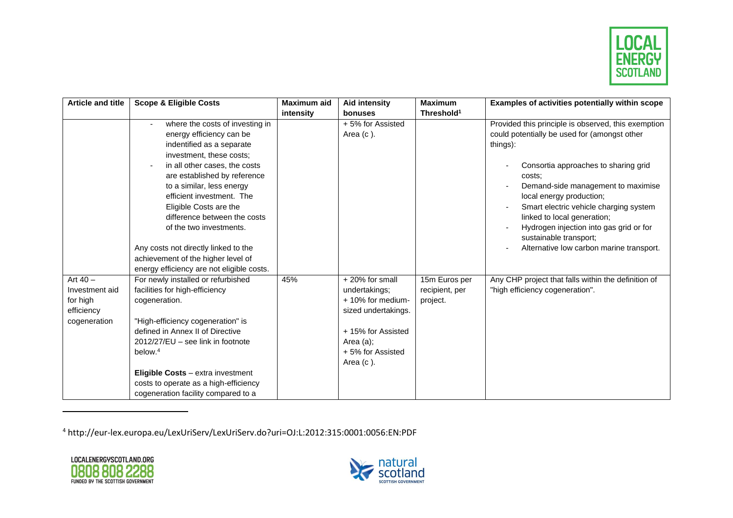

| <b>Article and title</b>                                               | <b>Scope &amp; Eligible Costs</b>                                                                                                                                                                                                                                                                                                                                                                                  | Maximum aid | Aid intensity                                                                                                                                        | <b>Maximum</b>                              | Examples of activities potentially within scope                                                                                                                                                                                                                                                                                                                                                                               |
|------------------------------------------------------------------------|--------------------------------------------------------------------------------------------------------------------------------------------------------------------------------------------------------------------------------------------------------------------------------------------------------------------------------------------------------------------------------------------------------------------|-------------|------------------------------------------------------------------------------------------------------------------------------------------------------|---------------------------------------------|-------------------------------------------------------------------------------------------------------------------------------------------------------------------------------------------------------------------------------------------------------------------------------------------------------------------------------------------------------------------------------------------------------------------------------|
|                                                                        |                                                                                                                                                                                                                                                                                                                                                                                                                    | intensity   | bonuses                                                                                                                                              | Threshold <sup>1</sup>                      |                                                                                                                                                                                                                                                                                                                                                                                                                               |
|                                                                        | where the costs of investing in<br>energy efficiency can be<br>indentified as a separate<br>investment, these costs;<br>in all other cases, the costs<br>are established by reference<br>to a similar, less energy<br>efficient investment. The<br>Eligible Costs are the<br>difference between the costs<br>of the two investments.<br>Any costs not directly linked to the<br>achievement of the higher level of |             | +5% for Assisted<br>Area $(c)$ .                                                                                                                     |                                             | Provided this principle is observed, this exemption<br>could potentially be used for (amongst other<br>things):<br>Consortia approaches to sharing grid<br>costs:<br>Demand-side management to maximise<br>local energy production;<br>Smart electric vehicle charging system<br>linked to local generation;<br>Hydrogen injection into gas grid or for<br>sustainable transport;<br>Alternative low carbon marine transport. |
| Art $40 -$<br>Investment aid<br>for high<br>efficiency<br>cogeneration | energy efficiency are not eligible costs.<br>For newly installed or refurbished<br>facilities for high-efficiency<br>cogeneration.<br>"High-efficiency cogeneration" is<br>defined in Annex II of Directive<br>$2012/27/EU$ – see link in footnote<br>below. <sup>4</sup><br>Eligible Costs - extra investment<br>costs to operate as a high-efficiency<br>cogeneration facility compared to a                     | 45%         | +20% for small<br>undertakings;<br>+ 10% for medium-<br>sized undertakings.<br>+15% for Assisted<br>Area $(a)$ ;<br>+5% for Assisted<br>Area $(c)$ . | 15m Euros per<br>recipient, per<br>project. | Any CHP project that falls within the definition of<br>"high efficiency cogeneration".                                                                                                                                                                                                                                                                                                                                        |

<sup>4</sup> http://eur-lex.europa.eu/LexUriServ/LexUriServ.do?uri=OJ:L:2012:315:0001:0056:EN:PDF



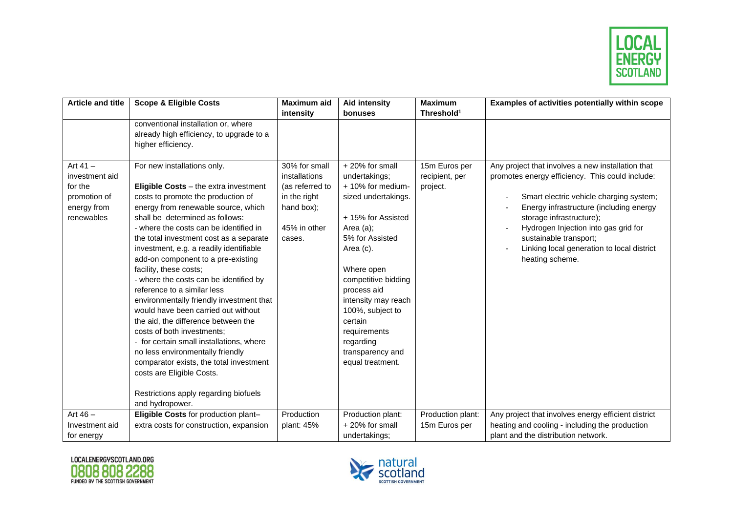

| <b>Article and title</b> | <b>Scope &amp; Eligible Costs</b>                                               | <b>Maximum aid</b> | <b>Aid intensity</b>        | <b>Maximum</b>         | Examples of activities potentially within scope     |
|--------------------------|---------------------------------------------------------------------------------|--------------------|-----------------------------|------------------------|-----------------------------------------------------|
|                          |                                                                                 | intensity          | bonuses                     | Threshold <sup>1</sup> |                                                     |
|                          | conventional installation or, where                                             |                    |                             |                        |                                                     |
|                          | already high efficiency, to upgrade to a                                        |                    |                             |                        |                                                     |
|                          | higher efficiency.                                                              |                    |                             |                        |                                                     |
|                          |                                                                                 |                    |                             |                        |                                                     |
| Art $41 -$               | For new installations only.                                                     | 30% for small      | +20% for small              | 15m Euros per          | Any project that involves a new installation that   |
| investment aid           |                                                                                 | installations      | undertakings;               | recipient, per         | promotes energy efficiency. This could include:     |
| for the                  | Eligible Costs - the extra investment                                           | (as referred to    | + 10% for medium-           | project.               |                                                     |
| promotion of             | costs to promote the production of                                              | in the right       | sized undertakings.         |                        | Smart electric vehicle charging system;             |
| energy from              | energy from renewable source, which                                             | hand box);         |                             |                        | Energy infrastructure (including energy             |
| renewables               | shall be determined as follows:                                                 |                    | +15% for Assisted           |                        | storage infrastructure);                            |
|                          | - where the costs can be identified in                                          | 45% in other       | Area (a);                   |                        | Hydrogen Injection into gas grid for                |
|                          | the total investment cost as a separate                                         | cases.             | 5% for Assisted             |                        | sustainable transport;                              |
|                          | investment, e.g. a readily identifiable                                         |                    | Area (c).                   |                        | Linking local generation to local district          |
|                          | add-on component to a pre-existing                                              |                    |                             |                        | heating scheme.                                     |
|                          | facility, these costs;                                                          |                    | Where open                  |                        |                                                     |
|                          | - where the costs can be identified by<br>reference to a similar less           |                    | competitive bidding         |                        |                                                     |
|                          |                                                                                 |                    | process aid                 |                        |                                                     |
|                          | environmentally friendly investment that<br>would have been carried out without |                    | intensity may reach         |                        |                                                     |
|                          | the aid, the difference between the                                             |                    | 100%, subject to<br>certain |                        |                                                     |
|                          | costs of both investments;                                                      |                    | requirements                |                        |                                                     |
|                          | - for certain small installations, where                                        |                    | regarding                   |                        |                                                     |
|                          | no less environmentally friendly                                                |                    | transparency and            |                        |                                                     |
|                          | comparator exists, the total investment                                         |                    | equal treatment.            |                        |                                                     |
|                          | costs are Eligible Costs.                                                       |                    |                             |                        |                                                     |
|                          |                                                                                 |                    |                             |                        |                                                     |
|                          | Restrictions apply regarding biofuels                                           |                    |                             |                        |                                                     |
|                          | and hydropower.                                                                 |                    |                             |                        |                                                     |
| Art $46 -$               | Eligible Costs for production plant-                                            | Production         | Production plant:           | Production plant:      | Any project that involves energy efficient district |
| Investment aid           | extra costs for construction, expansion                                         | plant: 45%         | +20% for small              | 15m Euros per          | heating and cooling - including the production      |
| for energy               |                                                                                 |                    | undertakings;               |                        | plant and the distribution network.                 |



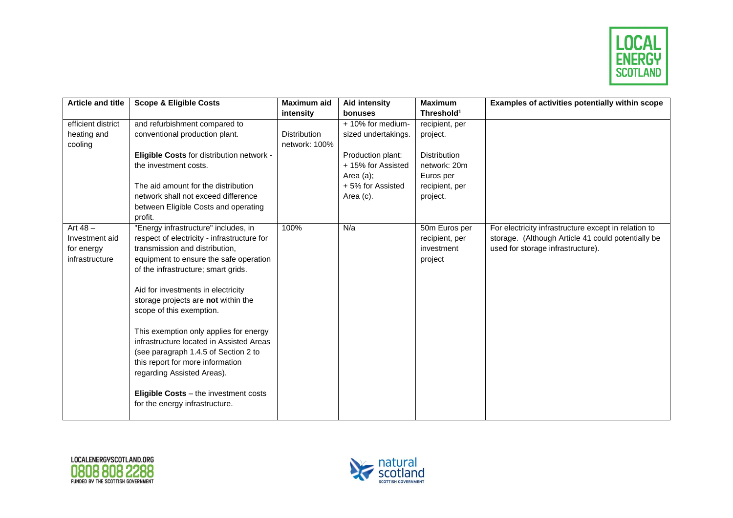

| <b>Article and title</b> | <b>Scope &amp; Eligible Costs</b>                                                                                                                                                                                                                                                                                                                                                | Maximum aid         | <b>Aid intensity</b> | <b>Maximum</b>         | Examples of activities potentially within scope      |
|--------------------------|----------------------------------------------------------------------------------------------------------------------------------------------------------------------------------------------------------------------------------------------------------------------------------------------------------------------------------------------------------------------------------|---------------------|----------------------|------------------------|------------------------------------------------------|
|                          |                                                                                                                                                                                                                                                                                                                                                                                  | intensity           | bonuses              | Threshold <sup>1</sup> |                                                      |
| efficient district       | and refurbishment compared to                                                                                                                                                                                                                                                                                                                                                    |                     | + 10% for medium-    | recipient, per         |                                                      |
| heating and              | conventional production plant.                                                                                                                                                                                                                                                                                                                                                   | <b>Distribution</b> | sized undertakings.  | project.               |                                                      |
| cooling                  |                                                                                                                                                                                                                                                                                                                                                                                  | network: 100%       |                      |                        |                                                      |
|                          | Eligible Costs for distribution network -                                                                                                                                                                                                                                                                                                                                        |                     | Production plant:    | <b>Distribution</b>    |                                                      |
|                          | the investment costs.                                                                                                                                                                                                                                                                                                                                                            |                     | +15% for Assisted    | network: 20m           |                                                      |
|                          |                                                                                                                                                                                                                                                                                                                                                                                  |                     | Area $(a)$ ;         | Euros per              |                                                      |
|                          | The aid amount for the distribution                                                                                                                                                                                                                                                                                                                                              |                     | +5% for Assisted     | recipient, per         |                                                      |
|                          | network shall not exceed difference                                                                                                                                                                                                                                                                                                                                              |                     | Area (c).            | project.               |                                                      |
|                          | between Eligible Costs and operating                                                                                                                                                                                                                                                                                                                                             |                     |                      |                        |                                                      |
|                          | profit.                                                                                                                                                                                                                                                                                                                                                                          |                     |                      |                        |                                                      |
| Art $48 -$               | "Energy infrastructure" includes, in                                                                                                                                                                                                                                                                                                                                             | 100%                | N/a                  | 50m Euros per          | For electricity infrastructure except in relation to |
| Investment aid           | respect of electricity - infrastructure for                                                                                                                                                                                                                                                                                                                                      |                     |                      | recipient, per         | storage. (Although Article 41 could potentially be   |
| for energy               | transmission and distribution,                                                                                                                                                                                                                                                                                                                                                   |                     |                      | investment             | used for storage infrastructure).                    |
| infrastructure           | equipment to ensure the safe operation                                                                                                                                                                                                                                                                                                                                           |                     |                      | project                |                                                      |
|                          | of the infrastructure; smart grids.                                                                                                                                                                                                                                                                                                                                              |                     |                      |                        |                                                      |
|                          |                                                                                                                                                                                                                                                                                                                                                                                  |                     |                      |                        |                                                      |
|                          |                                                                                                                                                                                                                                                                                                                                                                                  |                     |                      |                        |                                                      |
|                          |                                                                                                                                                                                                                                                                                                                                                                                  |                     |                      |                        |                                                      |
|                          |                                                                                                                                                                                                                                                                                                                                                                                  |                     |                      |                        |                                                      |
|                          |                                                                                                                                                                                                                                                                                                                                                                                  |                     |                      |                        |                                                      |
|                          |                                                                                                                                                                                                                                                                                                                                                                                  |                     |                      |                        |                                                      |
|                          |                                                                                                                                                                                                                                                                                                                                                                                  |                     |                      |                        |                                                      |
|                          |                                                                                                                                                                                                                                                                                                                                                                                  |                     |                      |                        |                                                      |
|                          |                                                                                                                                                                                                                                                                                                                                                                                  |                     |                      |                        |                                                      |
|                          |                                                                                                                                                                                                                                                                                                                                                                                  |                     |                      |                        |                                                      |
|                          |                                                                                                                                                                                                                                                                                                                                                                                  |                     |                      |                        |                                                      |
|                          |                                                                                                                                                                                                                                                                                                                                                                                  |                     |                      |                        |                                                      |
|                          |                                                                                                                                                                                                                                                                                                                                                                                  |                     |                      |                        |                                                      |
|                          | Aid for investments in electricity<br>storage projects are not within the<br>scope of this exemption.<br>This exemption only applies for energy<br>infrastructure located in Assisted Areas<br>(see paragraph 1.4.5 of Section 2 to<br>this report for more information<br>regarding Assisted Areas).<br>Eligible Costs - the investment costs<br>for the energy infrastructure. |                     |                      |                        |                                                      |



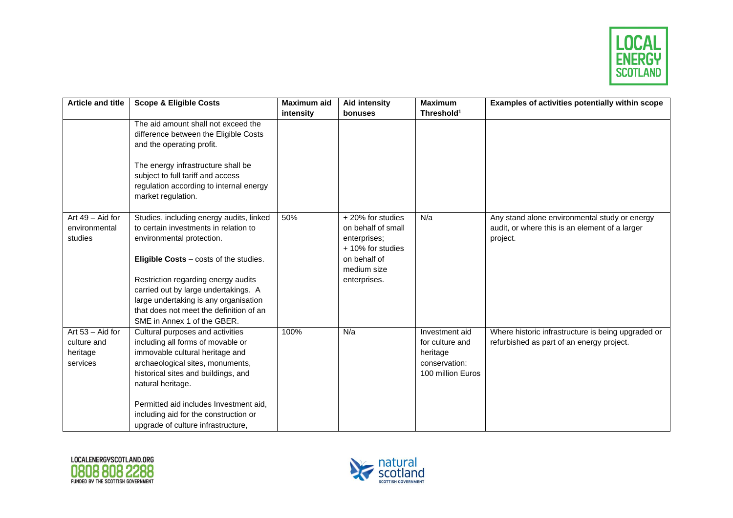

| <b>Article and title</b> | <b>Scope &amp; Eligible Costs</b>        | <b>Maximum aid</b> | <b>Aid intensity</b> | <b>Maximum</b>         | Examples of activities potentially within scope    |
|--------------------------|------------------------------------------|--------------------|----------------------|------------------------|----------------------------------------------------|
|                          |                                          | intensity          | bonuses              | Threshold <sup>1</sup> |                                                    |
|                          | The aid amount shall not exceed the      |                    |                      |                        |                                                    |
|                          | difference between the Eligible Costs    |                    |                      |                        |                                                    |
|                          | and the operating profit.                |                    |                      |                        |                                                    |
|                          | The energy infrastructure shall be       |                    |                      |                        |                                                    |
|                          | subject to full tariff and access        |                    |                      |                        |                                                    |
|                          | regulation according to internal energy  |                    |                      |                        |                                                    |
|                          | market regulation.                       |                    |                      |                        |                                                    |
| Art 49 - Aid for         | Studies, including energy audits, linked | 50%                | +20% for studies     | N/a                    | Any stand alone environmental study or energy      |
| environmental            | to certain investments in relation to    |                    | on behalf of small   |                        | audit, or where this is an element of a larger     |
| studies                  | environmental protection.                |                    | enterprises;         |                        | project.                                           |
|                          |                                          |                    | + 10% for studies    |                        |                                                    |
|                          | Eligible Costs - costs of the studies.   |                    | on behalf of         |                        |                                                    |
|                          |                                          |                    | medium size          |                        |                                                    |
|                          | Restriction regarding energy audits      |                    | enterprises.         |                        |                                                    |
|                          | carried out by large undertakings. A     |                    |                      |                        |                                                    |
|                          | large undertaking is any organisation    |                    |                      |                        |                                                    |
|                          | that does not meet the definition of an  |                    |                      |                        |                                                    |
|                          | SME in Annex 1 of the GBER.              |                    |                      |                        |                                                    |
| Art $53 -$ Aid for       | Cultural purposes and activities         | 100%               | N/a                  | Investment aid         | Where historic infrastructure is being upgraded or |
| culture and              | including all forms of movable or        |                    |                      | for culture and        | refurbished as part of an energy project.          |
| heritage                 | immovable cultural heritage and          |                    |                      | heritage               |                                                    |
| services                 | archaeological sites, monuments,         |                    |                      | conservation:          |                                                    |
|                          | historical sites and buildings, and      |                    |                      | 100 million Euros      |                                                    |
|                          | natural heritage.                        |                    |                      |                        |                                                    |
|                          | Permitted aid includes Investment aid,   |                    |                      |                        |                                                    |
|                          | including aid for the construction or    |                    |                      |                        |                                                    |
|                          | upgrade of culture infrastructure,       |                    |                      |                        |                                                    |



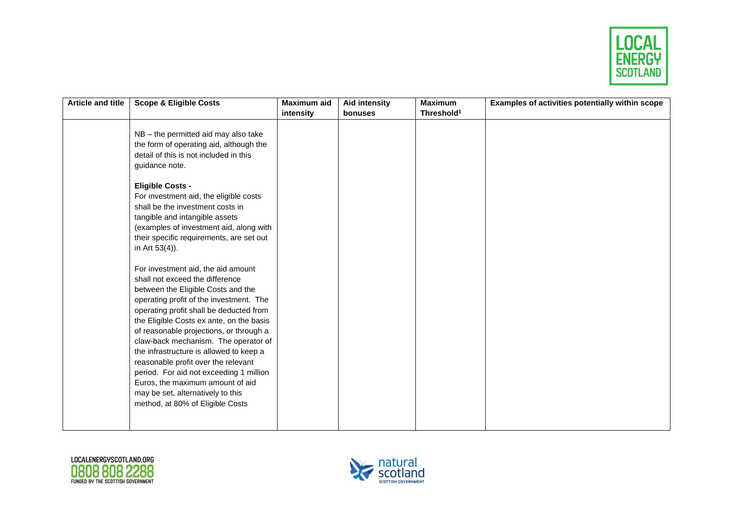

| <b>Article and title</b> | <b>Scope &amp; Eligible Costs</b>                                                                                                                                                                                                                                                                                                                                                                                                                                                                                                                                                                                                                                                                                                   | <b>Maximum aid</b> | <b>Aid intensity</b> | <b>Maximum</b>         | Examples of activities potentially within scope |
|--------------------------|-------------------------------------------------------------------------------------------------------------------------------------------------------------------------------------------------------------------------------------------------------------------------------------------------------------------------------------------------------------------------------------------------------------------------------------------------------------------------------------------------------------------------------------------------------------------------------------------------------------------------------------------------------------------------------------------------------------------------------------|--------------------|----------------------|------------------------|-------------------------------------------------|
|                          |                                                                                                                                                                                                                                                                                                                                                                                                                                                                                                                                                                                                                                                                                                                                     | intensity          | bonuses              | Threshold <sup>1</sup> |                                                 |
|                          | NB - the permitted aid may also take<br>the form of operating aid, although the<br>detail of this is not included in this<br>guidance note.<br><b>Eligible Costs -</b><br>For investment aid, the eligible costs<br>shall be the investment costs in<br>tangible and intangible assets<br>(examples of investment aid, along with<br>their specific requirements, are set out<br>in Art 53(4)).<br>For investment aid, the aid amount<br>shall not exceed the difference<br>between the Eligible Costs and the<br>operating profit of the investment. The<br>operating profit shall be deducted from<br>the Eligible Costs ex ante, on the basis<br>of reasonable projections, or through a<br>claw-back mechanism. The operator of |                    |                      |                        |                                                 |
|                          | the infrastructure is allowed to keep a<br>reasonable profit over the relevant<br>period. For aid not exceeding 1 million                                                                                                                                                                                                                                                                                                                                                                                                                                                                                                                                                                                                           |                    |                      |                        |                                                 |
|                          | Euros, the maximum amount of aid<br>may be set, alternatively to this<br>method, at 80% of Eligible Costs                                                                                                                                                                                                                                                                                                                                                                                                                                                                                                                                                                                                                           |                    |                      |                        |                                                 |
|                          |                                                                                                                                                                                                                                                                                                                                                                                                                                                                                                                                                                                                                                                                                                                                     |                    |                      |                        |                                                 |



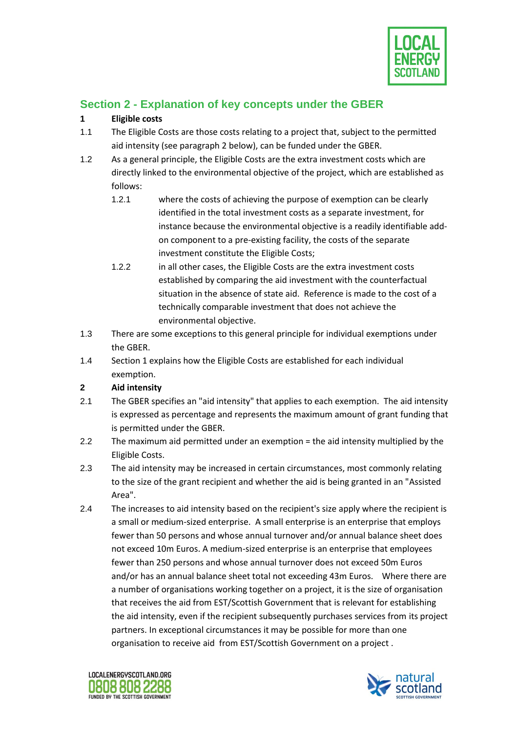

## **Section 2 - Explanation of key concepts under the GBER**

### **1 Eligible costs**

- 1.1 The Eligible Costs are those costs relating to a project that, subject to the permitted aid intensity (see paragraph 2 below), can be funded under the GBER.
- 1.2 As a general principle, the Eligible Costs are the extra investment costs which are directly linked to the environmental objective of the project, which are established as follows:
	- 1.2.1 where the costs of achieving the purpose of exemption can be clearly identified in the total investment costs as a separate investment, for instance because the environmental objective is a readily identifiable addon component to a pre-existing facility, the costs of the separate investment constitute the Eligible Costs;
	- 1.2.2 in all other cases, the Eligible Costs are the extra investment costs established by comparing the aid investment with the counterfactual situation in the absence of state aid. Reference is made to the cost of a technically comparable investment that does not achieve the environmental objective.
- 1.3 There are some exceptions to this general principle for individual exemptions under the GBER.
- 1.4 Section 1 explains how the Eligible Costs are established for each individual exemption.

#### **2 Aid intensity**

- 2.1 The GBER specifies an "aid intensity" that applies to each exemption. The aid intensity is expressed as percentage and represents the maximum amount of grant funding that is permitted under the GBER.
- 2.2 The maximum aid permitted under an exemption = the aid intensity multiplied by the Eligible Costs.
- 2.3 The aid intensity may be increased in certain circumstances, most commonly relating to the size of the grant recipient and whether the aid is being granted in an "Assisted Area".
- 2.4 The increases to aid intensity based on the recipient's size apply where the recipient is a small or medium-sized enterprise. A small enterprise is an enterprise that employs fewer than 50 persons and whose annual turnover and/or annual balance sheet does not exceed 10m Euros. A medium-sized enterprise is an enterprise that employees fewer than 250 persons and whose annual turnover does not exceed 50m Euros and/or has an annual balance sheet total not exceeding 43m Euros. Where there are a number of organisations working together on a project, it is the size of organisation that receives the aid from EST/Scottish Government that is relevant for establishing the aid intensity, even if the recipient subsequently purchases services from its project partners. In exceptional circumstances it may be possible for more than one organisation to receive aid from EST/Scottish Government on a project .



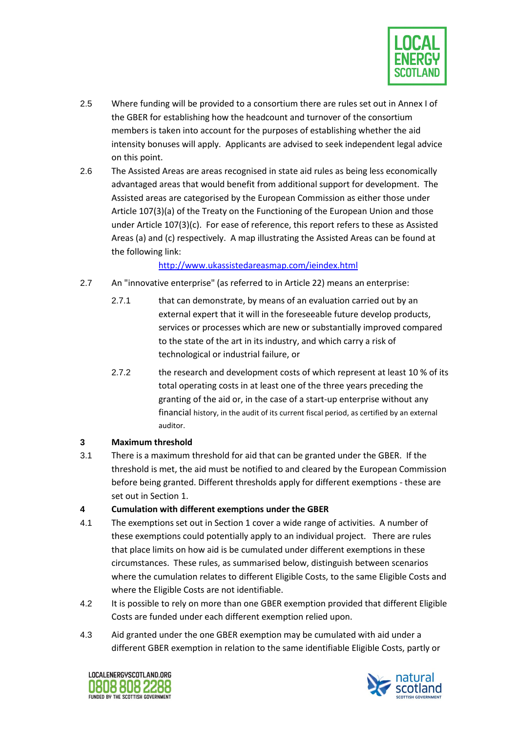

- 2.5 Where funding will be provided to a consortium there are rules set out in Annex I of the GBER for establishing how the headcount and turnover of the consortium members is taken into account for the purposes of establishing whether the aid intensity bonuses will apply. Applicants are advised to seek independent legal advice on this point.
- 2.6 The Assisted Areas are areas recognised in state aid rules as being less economically advantaged areas that would benefit from additional support for development. The Assisted areas are categorised by the European Commission as either those under Article 107(3)(a) of the Treaty on the Functioning of the European Union and those under Article 107(3)(c). For ease of reference, this report refers to these as Assisted Areas (a) and (c) respectively. A map illustrating the Assisted Areas can be found at the following link:

#### <http://www.ukassistedareasmap.com/ieindex.html>

- 2.7 An "innovative enterprise" (as referred to in Article 22) means an enterprise:
	- 2.7.1 that can demonstrate, by means of an evaluation carried out by an external expert that it will in the foreseeable future develop products, services or processes which are new or substantially improved compared to the state of the art in its industry, and which carry a risk of technological or industrial failure, or
	- 2.7.2 the research and development costs of which represent at least 10 % of its total operating costs in at least one of the three years preceding the granting of the aid or, in the case of a start-up enterprise without any financial history, in the audit of its current fiscal period, as certified by an external auditor.

#### **3 Maximum threshold**

3.1 There is a maximum threshold for aid that can be granted under the GBER. If the threshold is met, the aid must be notified to and cleared by the European Commission before being granted. Different thresholds apply for different exemptions - these are set out in Section 1.

#### **4 Cumulation with different exemptions under the GBER**

- 4.1 The exemptions set out in Section 1 cover a wide range of activities. A number of these exemptions could potentially apply to an individual project. There are rules that place limits on how aid is be cumulated under different exemptions in these circumstances. These rules, as summarised below, distinguish between scenarios where the cumulation relates to different Eligible Costs, to the same Eligible Costs and where the Eligible Costs are not identifiable.
- 4.2 It is possible to rely on more than one GBER exemption provided that different Eligible Costs are funded under each different exemption relied upon.
- 4.3 Aid granted under the one GBER exemption may be cumulated with aid under a different GBER exemption in relation to the same identifiable Eligible Costs, partly or